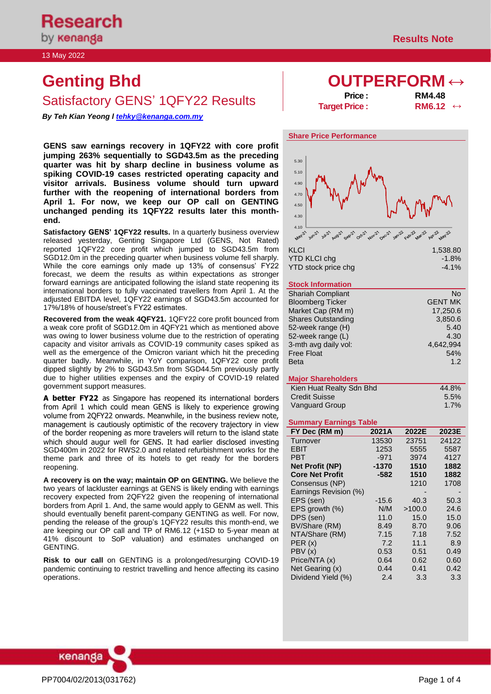by **kenanga** 

# **Genting Bhd OUTPERFORM ↔** Satisfactory GENS' 1QFY22 Results

*By Teh Kian Yeong l [tehky@kenanga.com.my](mailto:tehky@kenanga.com.my)*

**GENS saw earnings recovery in 1QFY22 with core profit jumping 263% sequentially to SGD43.5m as the preceding quarter was hit by sharp decline in business volume as spiking COVID-19 cases restricted operating capacity and visitor arrivals. Business volume should turn upward further with the reopening of international borders from April 1. For now, we keep our OP call on GENTING unchanged pending its 1QFY22 results later this monthend.** 

**Satisfactory GENS' 1QFY22 results.** In a quarterly business overview released yesterday, Genting Singapore Ltd (GENS, Not Rated) reported 1QFY22 core profit which jumped to SGD43.5m from SGD12.0m in the preceding quarter when business volume fell sharply. While the core earnings only made up 13% of consensus' FY22 forecast, we deem the results as within expectations as stronger forward earnings are anticipated following the island state reopening its international borders to fully vaccinated travellers from April 1. At the adjusted EBITDA level, 1QFY22 earnings of SGD43.5m accounted for 17%/18% of house/street's FY22 estimates.

**Recovered from the weak 4QFY21.** 1QFY22 core profit bounced from a weak core profit of SGD12.0m in 4QFY21 which as mentioned above was owing to lower business volume due to the restriction of operating capacity and visitor arrivals as COVID-19 community cases spiked as well as the emergence of the Omicron variant which hit the preceding quarter badly. Meanwhile, in YoY comparison, 1QFY22 core profit dipped slightly by 2% to SGD43.5m from SGD44.5m previously partly due to higher utilities expenses and the expiry of COVID-19 related government support measures.

**A better FY22** as Singapore has reopened its international borders from April 1 which could mean GENS is likely to experience growing volume from 2QFY22 onwards. Meanwhile, in the business review note, management is cautiously optimistic of the recovery trajectory in view of the border reopening as more travelers will return to the island state which should augur well for GENS. It had earlier disclosed investing SGD400m in 2022 for RWS2.0 and related refurbishment works for the theme park and three of its hotels to get ready for the borders reopening.

**A recovery is on the way; maintain OP on GENTING.** We believe the two years of lackluster earnings at GENS is likely ending with earnings recovery expected from 2QFY22 given the reopening of international borders from April 1. And, the same would apply to GENM as well. This should eventually benefit parent-company GENTING as well. For now, pending the release of the group's 1QFY22 results this month-end, we are keeping our OP call and TP of RM6.12 (+1SD to 5-year mean at 41% discount to SoP valuation) and estimates unchanged on GENTING.

**Risk to our call** on GENTING is a prolonged/resurging COVID-19 pandemic continuing to restrict travelling and hence affecting its casino operations.

| Price :              | <b>RM4.48</b>            |  |
|----------------------|--------------------------|--|
| <b>Target Price:</b> | RM6.12 $\leftrightarrow$ |  |



### **Stock Information**

| <b>Shariah Compliant</b>  | N٥             |
|---------------------------|----------------|
| <b>Bloomberg Ticker</b>   | <b>GENT MK</b> |
| Market Cap (RM m)         | 17,250.6       |
| <b>Shares Outstanding</b> | 3,850.6        |
| 52-week range (H)         | 5.40           |
| 52-week range (L)         | 4.30           |
| 3-mth avg daily vol:      | 4,642,994      |
| <b>Free Float</b>         | 54%            |
| <b>Beta</b>               | 1.2            |
|                           |                |

#### **Major Shareholders**

| Kien Huat Realty Sdn Bhd | 44.8%   |
|--------------------------|---------|
| <b>Credit Suisse</b>     | $5.5\%$ |
| Vanguard Group           | $1.7\%$ |

#### **Summary Earnings Table**

| FY Dec (RM m)          | 2021A   | 2022E  | 2023E |
|------------------------|---------|--------|-------|
| Turnover               | 13530   | 23751  | 24122 |
| <b>EBIT</b>            | 1253    | 5555   | 5587  |
| PBT                    | $-971$  | 3974   | 4127  |
| <b>Net Profit (NP)</b> | $-1370$ | 1510   | 1882  |
| <b>Core Net Profit</b> | $-582$  | 1510   | 1882  |
| Consensus (NP)         |         | 1210   | 1708  |
| Earnings Revision (%)  |         |        |       |
| EPS (sen)              | -15.6   | 40.3   | 50.3  |
| EPS growth $(\%)$      | N/M     | >100.0 | 24.6  |
| DPS (sen)              | 11.0    | 15.0   | 15.0  |
| BV/Share (RM)          | 8.49    | 8.70   | 9.06  |
| NTA/Share (RM)         | 7.15    | 7.18   | 7.52  |
| PER(x)                 | 7.2     | 11.1   | 8.9   |
| PBV(x)                 | 0.53    | 0.51   | 0.49  |
| Price/NTA (x)          | 0.64    | 0.62   | 0.60  |
| Net Gearing (x)        | 0.44    | 0.41   | 0.42  |
| Dividend Yield (%)     | 2.4     | 3.3    | 3.3   |

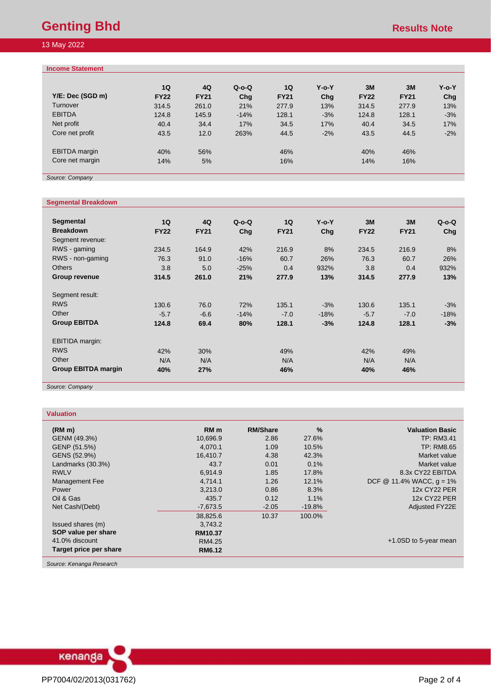# **Genting Bhd Results Note**

# 13 May 2022

# **Income Statement**

| Y/E: Dec (SGD m)<br>Turnover<br><b>EBITDA</b><br>Net profit<br>Core net profit | 1Q<br><b>FY22</b><br>314.5<br>124.8<br>40.4<br>43.5 | 4Q<br><b>FY21</b><br>261.0<br>145.9<br>34.4<br>12.0 | $Q$ -o- $Q$<br>Chg<br>21%<br>$-14%$<br>17%<br>263% | 1Q<br><b>FY21</b><br>277.9<br>128.1<br>34.5<br>44.5 | $Y$ -o- $Y$<br>Chq<br>13%<br>$-3%$<br>17%<br>$-2%$ | 3M<br><b>FY22</b><br>314.5<br>124.8<br>40.4<br>43.5 | 3M<br><b>FY21</b><br>277.9<br>128.1<br>34.5<br>44.5 | $Y$ -o- $Y$<br>Chq<br>13%<br>$-3%$<br>17%<br>$-2%$ |
|--------------------------------------------------------------------------------|-----------------------------------------------------|-----------------------------------------------------|----------------------------------------------------|-----------------------------------------------------|----------------------------------------------------|-----------------------------------------------------|-----------------------------------------------------|----------------------------------------------------|
| <b>EBITDA</b> margin<br>Core net margin                                        | 40%<br>14%                                          | 56%<br>5%                                           |                                                    | 46%<br>16%                                          |                                                    | 40%<br>14%                                          | 46%<br>16%                                          |                                                    |

*Source: Company* 

# **Segmental Breakdown**

| Segmental<br><b>Breakdown</b>                                               | 1Q<br><b>FY22</b>        | 4Q<br><b>FY21</b>      | $Q$ -o- $Q$<br>Chg   | 1Q<br><b>FY21</b>        | $Y$ -o- $Y$<br>Chg       | 3M<br><b>FY22</b>        | 3M<br><b>FY21</b>        | $Q$ -o- $Q$<br>Chq       |
|-----------------------------------------------------------------------------|--------------------------|------------------------|----------------------|--------------------------|--------------------------|--------------------------|--------------------------|--------------------------|
| Segment revenue:<br>RWS - gaming<br>RWS - non-gaming                        | 234.5<br>76.3            | 164.9<br>91.0          | 42%<br>$-16%$        | 216.9<br>60.7            | 8%<br>26%                | 234.5<br>76.3            | 216.9<br>60.7            | 8%<br>26%                |
| <b>Others</b><br><b>Group revenue</b>                                       | 3.8<br>314.5             | 5.0<br>261.0           | $-25%$<br>21%        | 0.4<br>277.9             | 932%<br>13%              | 3.8<br>314.5             | 0.4<br>277.9             | 932%<br>13%              |
| Segment result:<br><b>RWS</b><br>Other<br><b>Group EBITDA</b>               | 130.6<br>$-5.7$<br>124.8 | 76.0<br>$-6.6$<br>69.4 | 72%<br>$-14%$<br>80% | 135.1<br>$-7.0$<br>128.1 | $-3%$<br>$-18%$<br>$-3%$ | 130.6<br>$-5.7$<br>124.8 | 135.1<br>$-7.0$<br>128.1 | $-3%$<br>$-18%$<br>$-3%$ |
| <b>EBITIDA</b> margin:<br><b>RWS</b><br>Other<br><b>Group EBITDA margin</b> | 42%<br>N/A<br>40%        | 30%<br>N/A<br>27%      |                      | 49%<br>N/A<br>46%        |                          | 42%<br>N/A<br>40%        | 49%<br>N/A<br>46%        |                          |

*Source: Company* 

# **Valuation**

| (RM <sub>m</sub> )     | RM <sub>m</sub> | <b>RM/Share</b> | $\frac{0}{0}$ | <b>Valuation Basic</b>                   |
|------------------------|-----------------|-----------------|---------------|------------------------------------------|
| GENM (49.3%)           | 10,696.9        | 2.86            | 27.6%         | <b>TP: RM3.41</b>                        |
| GENP (51.5%)           | 4.070.1         | 1.09            | 10.5%         | <b>TP: RM8.65</b>                        |
| GENS (52.9%)           | 16.410.7        | 4.38            | 42.3%         | Market value                             |
| Landmarks (30.3%)      | 43.7            | 0.01            | 0.1%          | Market value                             |
| <b>RWLV</b>            | 6,914.9         | 1.85            | 17.8%         | 8.3x CY22 EBITDA                         |
| Management Fee         | 4,714.1         | 1.26            | 12.1%         | DCF $\circledcirc$ 11.4% WACC, $q = 1\%$ |
| Power                  | 3,213.0         | 0.86            | 8.3%          | <b>12x CY22 PER</b>                      |
| Oil & Gas              | 435.7           | 0.12            | 1.1%          | <b>12x CY22 PER</b>                      |
| Net Cash/(Debt)        | $-7,673.5$      | $-2.05$         | $-19.8%$      | <b>Adjusted FY22E</b>                    |
|                        | 38,825.6        | 10.37           | 100.0%        |                                          |
| Issued shares (m)      | 3,743.2         |                 |               |                                          |
| SOP value per share    | RM10.37         |                 |               |                                          |
| 41.0% discount         | RM4.25          |                 |               | $+1.0SD$ to 5-year mean                  |
| Target price per share | <b>RM6.12</b>   |                 |               |                                          |
|                        |                 |                 |               |                                          |

*Source: Kenanga Research*

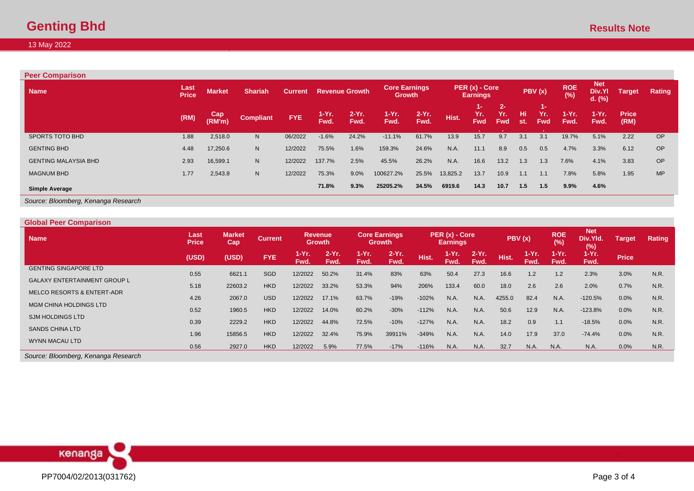# **Genting Bhd Results Note**

# 13 May 2022

| <b>Peer Comparison</b>      |                      |               |                  |                |                  |                       |                                       |                  |          |                                   |                            |            |                         |                   |                                  |                      |           |
|-----------------------------|----------------------|---------------|------------------|----------------|------------------|-----------------------|---------------------------------------|------------------|----------|-----------------------------------|----------------------------|------------|-------------------------|-------------------|----------------------------------|----------------------|-----------|
| <b>Name</b>                 | Last<br><b>Price</b> | <b>Market</b> | <b>Shariah</b>   | <b>Current</b> |                  | <b>Revenue Growth</b> | <b>Core Earnings</b><br><b>Growth</b> |                  |          | PER (x) - Core<br><b>Earnings</b> |                            |            | PBV (x)                 | <b>ROE</b><br>(%) | <b>Net</b><br>Div.YI<br>$d.$ (%) | <b>Target</b>        | Rating    |
|                             | (RM)                 | Cap<br>(RM'm) | <b>Compliant</b> | FYE.           | $1-Yr$ .<br>Fwd. | $2-Yr.$<br>Fwd.       | $1-Yr.$<br>Fwd.                       | $2-Yr$ .<br>Fwd. | Hist.    | 1- 1<br>Yr.<br><b>Fwd</b>         | $2 -$<br>Yr.<br><b>Fwd</b> | Hi.<br>st. | 1-<br>Yr.<br><b>Fwd</b> | 1-Yr.<br>Fwd.     | $1-Yr.$<br>Fwd.                  | <b>Price</b><br>(RM) |           |
| SPORTS TOTO BHD             | 1.88                 | 2,518.0       | N                | 06/2022        | $-1.6%$          | 24.2%                 | $-11.1%$                              | 61.7%            | 13.9     | 15.7                              | 9.7                        | 3.1        | 3.1                     | 19.7%             | 5.1%                             | 2.22                 | <b>OP</b> |
| <b>GENTING BHD</b>          | 4.48                 | 17,250.6      | N                | 12/2022        | 75.5%            | 1.6%                  | 159.3%                                | 24.6%            | N.A.     | 11.1                              | 8.9                        | 0.5        | 0.5                     | 4.7%              | 3.3%                             | 6.12                 | <b>OP</b> |
| <b>GENTING MALAYSIA BHD</b> | 2.93                 | 16,599.1      | N                | 12/2022        | 137.7%           | 2.5%                  | 45.5%                                 | 26.2%            | N.A.     | 16.6                              | 13.2                       | 1.3        | 1.3                     | 7.6%              | 4.1%                             | 3.83                 | <b>OP</b> |
| <b>MAGNUM BHD</b>           | 1.77                 | 2,543.8       | N                | 12/2022        | 75.3%            | 9.0%                  | 100627.2%                             | 25.5%            | 13,825.2 | 13.7                              | 10.9                       | 1.1        | 1.1                     | 7.8%              | 5.8%                             | 1.95                 | <b>MP</b> |
| <b>Simple Average</b>       |                      |               |                  |                | 71.8%            | 9.3%                  | 25205.2%                              | 34.5%            | 6919.6   | 14.3                              | 10.7                       | 1.5        | 1.5                     | 9.9%              | 4.6%                             |                      |           |

*Source: Bloomberg, Kenanga Research*

| <b>Global Peer Comparison</b>       |                      |                      |                |                 |                                 |               |                                             |         |                                    |                 |                |               |                   |                               |               |        |
|-------------------------------------|----------------------|----------------------|----------------|-----------------|---------------------------------|---------------|---------------------------------------------|---------|------------------------------------|-----------------|----------------|---------------|-------------------|-------------------------------|---------------|--------|
| <b>Name</b>                         | Last<br><b>Price</b> | <b>Market</b><br>Cap | <b>Current</b> |                 | <b>Revenue</b><br><b>Growth</b> |               | <b>Core Earnings</b><br>Growth <sup>1</sup> |         | $PER(x) - Core$<br><b>Earnings</b> |                 |                | PBV(x)        | <b>ROE</b><br>(%) | <b>Net</b><br>Div.Yld.<br>(%) | <b>Target</b> | Rating |
|                                     | (USD)                | (USD)                | <b>FYE</b>     | 1-Yr. .<br>Fwd. | $2-Yr$ .<br>Fwd.                | 1-Yr.<br>Fwd. | $2-Yr$ .<br>Fwd.                            | Hist.   | $1-Yr$ .<br>Fwd.                   | $2-Yr.$<br>Fwd. | Hist. <b>\</b> | 1-Yr.<br>Fwd. | $1-Yr$ .<br>Fwd.  | $1-Yr.$<br>Fwd.               | <b>Price</b>  |        |
| <b>GENTING SINGAPORE LTD</b>        | 0.55                 | 6621.1               | <b>SGD</b>     | 12/2022         | 50.2%                           | 31.4%         | 83%                                         | 63%     | 50.4                               | 27.3            | 16.6           | 1.2           | 1.2               | 2.3%                          | 3.0%          | N.R.   |
| <b>GALAXY ENTERTAINMENT GROUP L</b> | 5.18                 | 22603.2              | <b>HKD</b>     | 12/2022         | 33.2%                           | 53.3%         | 94%                                         | 206%    | 133.4                              | 60.0            | 18.0           | 2.6           | 2.6               | 2.0%                          | 0.7%          | N.R.   |
| MELCO RESORTS & ENTERT-ADR          | 4.26                 | 2067.0               | <b>USD</b>     | 12/2022         | 17.1%                           | 63.7%         | $-19%$                                      | $-102%$ | N.A.                               | N.A.            | 4255.0         | 82.4          | N.A.              | $-120.5%$                     | 0.0%          | N.R.   |
| <b>MGM CHINA HOLDINGS LTD</b>       | 0.52                 | 1960.5               | <b>HKD</b>     | 12/2022         | 14.0%                           | 60.2%         | $-30%$                                      | $-112%$ | N.A.                               | N.A.            | 50.6           | 12.9          | N.A.              | $-123.8%$                     | 0.0%          | N.R.   |
| <b>SJM HOLDINGS LTD</b>             | 0.39                 | 2229.2               | <b>HKD</b>     | 12/2022         | 44.8%                           | 72.5%         | $-10%$                                      | $-127%$ | N.A.                               | N.A.            | 18.2           | 0.9           | 1.1               | $-18.5%$                      | 0.0%          | N.R.   |
| <b>SANDS CHINA LTD</b>              | 1.96                 | 15856.5              | <b>HKD</b>     | 12/2022         | 32.4%                           | 75.9%         | 39911%                                      | $-349%$ | N.A.                               | N.A.            | 14.0           | 17.9          | 37.0              | $-74.4%$                      | 0.0%          | N.R.   |
| WYNN MACAU LTD                      | 0.56                 | 2927.0               | <b>HKD</b>     | 12/2022         | 5.9%                            | 77.5%         | $-17%$                                      | $-116%$ | N.A.                               | N.A.            | 32.7           | N.A.          | N.A.              | N.A.                          | 0.0%          | N.R.   |
| Source: Bloomberg, Kenanga Research |                      |                      |                |                 |                                 |               |                                             |         |                                    |                 |                |               |                   |                               |               |        |